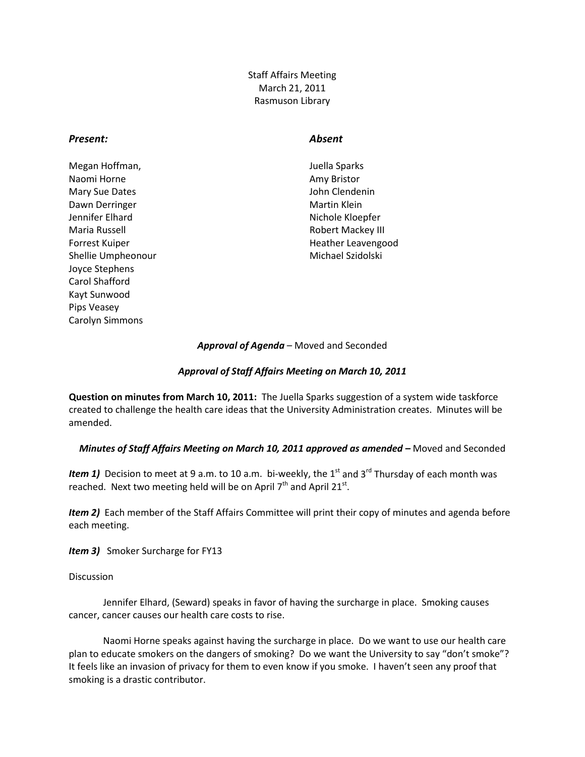Staff Affairs Meeting March 21, 2011 Rasmuson Library

## *Present: Absent*

- Megan Hoffman, The Contract of the United Sparks and Megan Hoffman, Naomi Horne **Amy Bristor** Amy Bristor Mary Sue Dates **John Clendenin** Dawn Derringer Martin Klein Jennifer Elhard Nichole Kloepfer Maria Russell **Maria Russell** Robert Mackey III Shellie Umpheonour and a state of the Michael Szidolski Joyce Stephens Carol Shafford Kayt Sunwood Pips Veasey Carolyn Simmons
- Forrest Kuiper **Heather Leavengood Heather Leavengood**

## *Approval of Agenda* – Moved and Seconded

## *Approval of Staff Affairs Meeting on March 10, 2011*

**Question on minutes from March 10, 2011:** The Juella Sparks suggestion of a system wide taskforce created to challenge the health care ideas that the University Administration creates. Minutes will be amended.

## *Minutes of Staff Affairs Meeting on March 10, 2011 approved as amended –* Moved and Seconded

*Item 1)* Decision to meet at 9 a.m. to 10 a.m. bi-weekly, the 1<sup>st</sup> and 3<sup>rd</sup> Thursday of each month was reached. Next two meeting held will be on April  $7<sup>th</sup>$  and April 21<sup>st</sup>.

*Item 2)* Each member of the Staff Affairs Committee will print their copy of minutes and agenda before each meeting.

*Item 3)* Smoker Surcharge for FY13

**Discussion** 

Jennifer Elhard, (Seward) speaks in favor of having the surcharge in place. Smoking causes cancer, cancer causes our health care costs to rise.

Naomi Horne speaks against having the surcharge in place. Do we want to use our health care plan to educate smokers on the dangers of smoking? Do we want the University to say "don't smoke"? It feels like an invasion of privacy for them to even know if you smoke. I haven't seen any proof that smoking is a drastic contributor.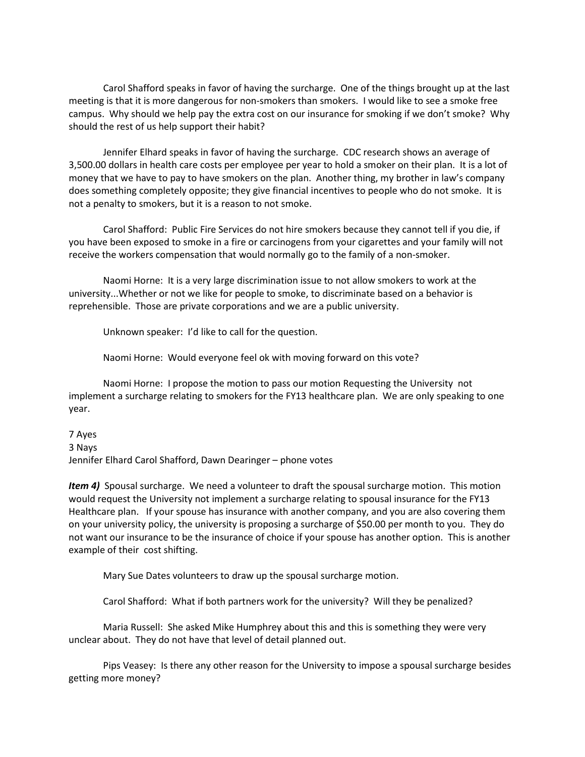Carol Shafford speaks in favor of having the surcharge. One of the things brought up at the last meeting is that it is more dangerous for non-smokers than smokers. I would like to see a smoke free campus. Why should we help pay the extra cost on our insurance for smoking if we don't smoke? Why should the rest of us help support their habit?

Jennifer Elhard speaks in favor of having the surcharge. CDC research shows an average of 3,500.00 dollars in health care costs per employee per year to hold a smoker on their plan. It is a lot of money that we have to pay to have smokers on the plan. Another thing, my brother in law's company does something completely opposite; they give financial incentives to people who do not smoke. It is not a penalty to smokers, but it is a reason to not smoke.

Carol Shafford: Public Fire Services do not hire smokers because they cannot tell if you die, if you have been exposed to smoke in a fire or carcinogens from your cigarettes and your family will not receive the workers compensation that would normally go to the family of a non-smoker.

Naomi Horne: It is a very large discrimination issue to not allow smokers to work at the university...Whether or not we like for people to smoke, to discriminate based on a behavior is reprehensible. Those are private corporations and we are a public university.

Unknown speaker: I'd like to call for the question.

Naomi Horne: Would everyone feel ok with moving forward on this vote?

Naomi Horne: I propose the motion to pass our motion Requesting the University not implement a surcharge relating to smokers for the FY13 healthcare plan. We are only speaking to one year.

7 Ayes

3 Nays

Jennifer Elhard Carol Shafford, Dawn Dearinger – phone votes

*Item 4)* Spousal surcharge. We need a volunteer to draft the spousal surcharge motion. This motion would request the University not implement a surcharge relating to spousal insurance for the FY13 Healthcare plan. If your spouse has insurance with another company, and you are also covering them on your university policy, the university is proposing a surcharge of \$50.00 per month to you. They do not want our insurance to be the insurance of choice if your spouse has another option. This is another example of their cost shifting.

Mary Sue Dates volunteers to draw up the spousal surcharge motion.

Carol Shafford: What if both partners work for the university? Will they be penalized?

Maria Russell: She asked Mike Humphrey about this and this is something they were very unclear about. They do not have that level of detail planned out.

Pips Veasey: Is there any other reason for the University to impose a spousal surcharge besides getting more money?